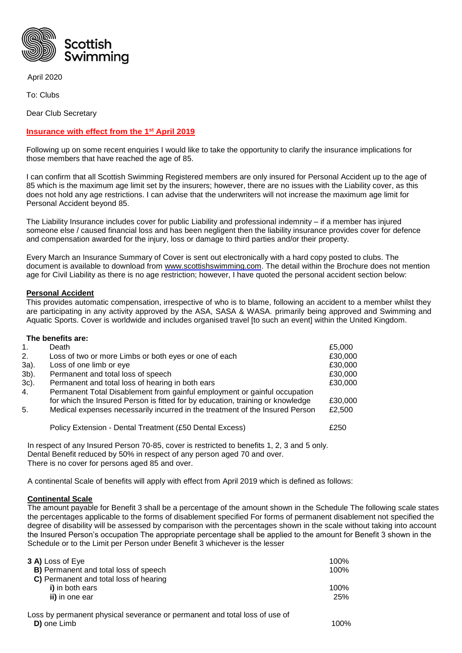

April 2020

To: Clubs

Dear Club Secretary

## **Insurance with effect from the 1st April 2019**

Following up on some recent enquiries I would like to take the opportunity to clarify the insurance implications for those members that have reached the age of 85.

I can confirm that all Scottish Swimming Registered members are only insured for Personal Accident up to the age of 85 which is the maximum age limit set by the insurers; however, there are no issues with the Liability cover, as this does not hold any age restrictions. I can advise that the underwriters will not increase the maximum age limit for Personal Accident beyond 85.

The Liability Insurance includes cover for public Liability and professional indemnity – if a member has injured someone else / caused financial loss and has been negligent then the liability insurance provides cover for defence and compensation awarded for the injury, loss or damage to third parties and/or their property.

Every March an Insurance Summary of Cover is sent out electronically with a hard copy posted to clubs. The document is available to download from [www.scottishswimming.com.](http://www.scottishswimming.com/) The detail within the Brochure does not mention age for Civil Liability as there is no age restriction; however, I have quoted the personal accident section below:

## **Personal Accident**

This provides automatic compensation, irrespective of who is to blame, following an accident to a member whilst they are participating in any activity approved by the ASA, SASA & WASA. primarily being approved and Swimming and Aquatic Sports. Cover is worldwide and includes organised travel [to such an event] within the United Kingdom.

|      | The benefits are:                                                              |         |
|------|--------------------------------------------------------------------------------|---------|
| 1.   | Death                                                                          | £5,000  |
| 2.   | Loss of two or more Limbs or both eyes or one of each                          | £30,000 |
| 3a). | Loss of one limb or eye                                                        | £30,000 |
| 3b). | Permanent and total loss of speech                                             | £30,000 |
| 3c). | Permanent and total loss of hearing in both ears                               | £30,000 |
| 4.   | Permanent Total Disablement from gainful employment or gainful occupation      |         |
|      | for which the Insured Person is fitted for by education, training or knowledge | £30,000 |
| 5.   | Medical expenses necessarily incurred in the treatment of the Insured Person   | £2,500  |
|      | Policy Extension - Dental Treatment (£50 Dental Excess)                        | £250    |

In respect of any Insured Person 70-85, cover is restricted to benefits 1, 2, 3 and 5 only. Dental Benefit reduced by 50% in respect of any person aged 70 and over. There is no cover for persons aged 85 and over.

A continental Scale of benefits will apply with effect from April 2019 which is defined as follows:

## **Continental Scale**

The amount payable for Benefit 3 shall be a percentage of the amount shown in the Schedule The following scale states the percentages applicable to the forms of disablement specified For forms of permanent disablement not specified the degree of disability will be assessed by comparison with the percentages shown in the scale without taking into account the Insured Person's occupation The appropriate percentage shall be applied to the amount for Benefit 3 shown in the Schedule or to the Limit per Person under Benefit 3 whichever is the lesser

| 3 A) Loss of Eye                                                           | 100% |
|----------------------------------------------------------------------------|------|
| <b>B)</b> Permanent and total loss of speech                               | 100% |
| C) Permanent and total loss of hearing                                     |      |
| i) in both ears                                                            | 100% |
| ii) in one ear                                                             | 25%  |
| Loss by permanent physical severance or permanent and total loss of use of |      |
| D) one Limb                                                                | 100% |